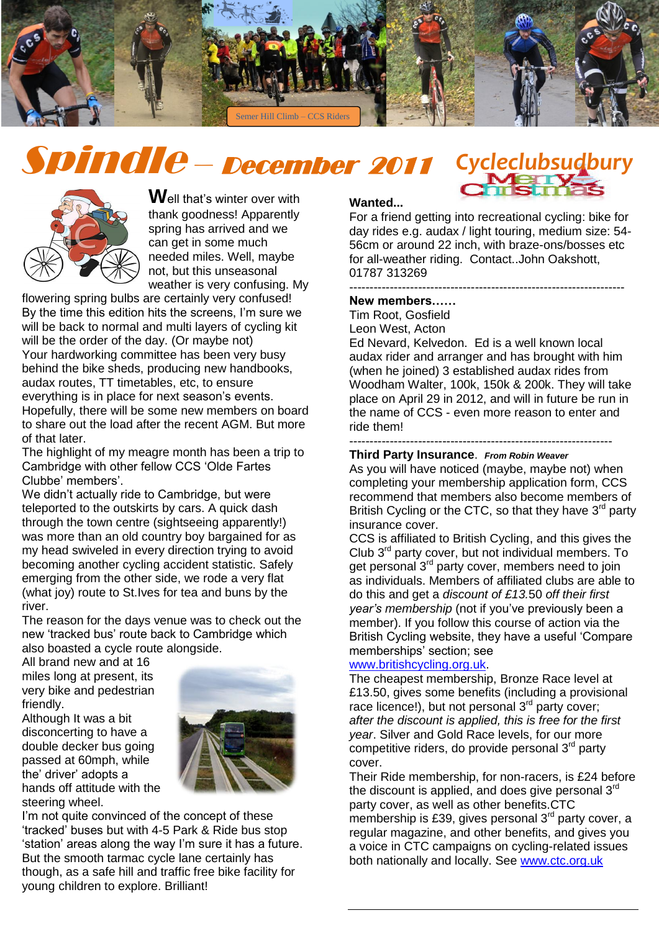

# Spindle – December 2011



**W**ell that"s winter over with thank goodness! Apparently spring has arrived and we can get in some much needed miles. Well, maybe not, but this unseasonal weather is very confusing. My

flowering spring bulbs are certainly very confused! By the time this edition hits the screens, I"m sure we will be back to normal and multi layers of cycling kit will be the order of the day. (Or maybe not) Your hardworking committee has been very busy behind the bike sheds, producing new handbooks, audax routes, TT timetables, etc, to ensure everything is in place for next season's events. Hopefully, there will be some new members on board to share out the load after the recent AGM. But more of that later.

The highlight of my meagre month has been a trip to Cambridge with other fellow CCS "Olde Fartes Clubbe" members".

We didn"t actually ride to Cambridge, but were teleported to the outskirts by cars. A quick dash through the town centre (sightseeing apparently!) was more than an old country boy bargained for as my head swiveled in every direction trying to avoid becoming another cycling accident statistic. Safely emerging from the other side, we rode a very flat (what joy) route to St.Ives for tea and buns by the river.

The reason for the days venue was to check out the new "tracked bus" route back to Cambridge which also boasted a cycle route alongside.

All brand new and at 16 miles long at present, its very bike and pedestrian friendly.

Although It was a bit disconcerting to have a double decker bus going passed at 60mph, while the' driver' adopts a hands off attitude with the steering wheel.



I'm not quite convinced of the concept of these "tracked" buses but with 4-5 Park & Ride bus stop "station" areas along the way I"m sure it has a future. But the smooth tarmac cycle lane certainly has though, as a safe hill and traffic free bike facility for young children to explore. Brilliant!

#### **Wanted...**

*Cycleclubsudbury*

For a friend getting into recreational cycling: bike for day rides e.g. audax / light touring, medium size: 54- 56cm or around 22 inch, with braze-ons/bosses etc for all-weather riding. Contact..John Oakshott, 01787 313269

--------------------------------------------------------------------

### **New members……**

Tim Root, Gosfield Leon West, Acton

Ed Nevard, Kelvedon. Ed is a well known local audax rider and arranger and has brought with him (when he joined) 3 established audax rides from Woodham Walter, 100k, 150k & 200k. They will take place on April 29 in 2012, and will in future be run in the name of CCS - even more reason to enter and ride them!

#### -----------------------------------------------------------------

**Third Party Insurance**. *From Robin Weaver* As you will have noticed (maybe, maybe not) when completing your membership application form, CCS recommend that members also become members of British Cycling or the CTC, so that they have  $3<sup>rd</sup>$  party insurance cover.

CCS is affiliated to British Cycling, and this gives the Club  $3<sup>rd</sup>$  party cover, but not individual members. To get personal 3<sup>rd</sup> party cover, members need to join as individuals. Members of affiliated clubs are able to do this and get a *discount of £13.*50 *off their first year's membership* (not if you"ve previously been a member). If you follow this course of action via the British Cycling website, they have a useful "Compare memberships' section; see

#### [www.britishcycling.org.uk.](http://www.britishcycling.org.uk/)

The cheapest membership, Bronze Race level at £13.50, gives some benefits (including a provisional race licence!), but not personal  $3<sup>rd</sup>$  party cover; *after the discount is applied, this is free for the first year*. Silver and Gold Race levels, for our more competitive riders, do provide personal  $3<sup>rd</sup>$  party cover.

Their Ride membership, for non-racers, is £24 before the discount is applied, and does give personal  $3<sup>rd</sup>$ party cover, as well as other benefits.CTC membership is £39, gives personal  $3<sup>rd</sup>$  party cover, a regular magazine, and other benefits, and gives you a voice in CTC campaigns on cycling-related issues both nationally and locally. See [www.ctc.org.uk](http://www.ctc.org.uk/)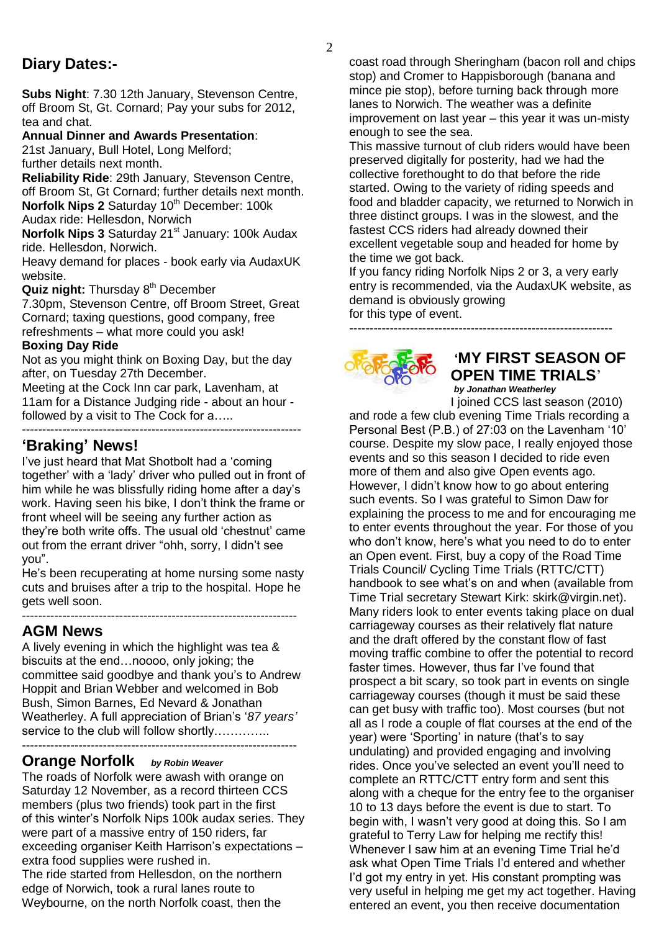## **Diary Dates:-**

**Subs Night**: 7.30 12th January, Stevenson Centre, off Broom St, Gt. Cornard; Pay your subs for 2012, tea and chat.

#### **Annual Dinner and Awards Presentation**:

21st January, Bull Hotel, Long Melford;

further details next month.

**Reliability Ride**: 29th January, Stevenson Centre, off Broom St, Gt Cornard; further details next month. **Norfolk Nips 2** Saturday 10<sup>th</sup> December: 100k

Audax ride: Hellesdon, Norwich

**Norfolk Nips 3** Saturday 21<sup>st</sup> January: 100k Audax ride. Hellesdon, Norwich.

Heavy demand for places - book early via AudaxUK website.

**Quiz night:** Thursday 8<sup>th</sup> December

7.30pm, Stevenson Centre, off Broom Street, Great Cornard; taxing questions, good company, free refreshments – what more could you ask!

#### **Boxing Day Ride**

Not as you might think on Boxing Day, but the day after, on Tuesday 27th December.

Meeting at the Cock Inn car park, Lavenham, at 11am for a Distance Judging ride - about an hour followed by a visit to The Cock for  $a$ .... ---------------------------------------------------------------------

## **'Braking' News!**

I"ve just heard that Mat Shotbolt had a "coming together" with a "lady" driver who pulled out in front of him while he was blissfully riding home after a day"s work. Having seen his bike, I don"t think the frame or front wheel will be seeing any further action as they"re both write offs. The usual old "chestnut" came out from the errant driver "ohh, sorry, I didn"t see you".

He's been recuperating at home nursing some nasty cuts and bruises after a trip to the hospital. Hope he gets well soon.

--------------------------------------------------------------------

## **AGM News**

A lively evening in which the highlight was tea & biscuits at the end…noooo, only joking; the committee said goodbye and thank you"s to Andrew Hoppit and Brian Webber and welcomed in Bob Bush, Simon Barnes, Ed Nevard & Jonathan Weatherley. A full appreciation of Brian"s "*87 years'* service to the club will follow shortly………….. --------------------------------------------------------------------

## **Orange Norfolk** *by Robin Weaver*

The roads of Norfolk were awash with orange on Saturday 12 November, as a record thirteen CCS members (plus two friends) took part in the first of this winter"s Norfolk Nips 100k audax series. They were part of a massive entry of 150 riders, far exceeding organiser Keith Harrison's expectations extra food supplies were rushed in. The ride started from Hellesdon, on the northern edge of Norwich, took a rural lanes route to Weybourne, on the north Norfolk coast, then the

coast road through Sheringham (bacon roll and chips stop) and Cromer to Happisborough (banana and mince pie stop), before turning back through more lanes to Norwich. The weather was a definite improvement on last year – this year it was un-misty enough to see the sea.

This massive turnout of club riders would have been preserved digitally for posterity, had we had the collective forethought to do that before the ride started. Owing to the variety of riding speeds and food and bladder capacity, we returned to Norwich in three distinct groups. I was in the slowest, and the fastest CCS riders had already downed their excellent vegetable soup and headed for home by the time we got back.

If you fancy riding Norfolk Nips 2 or 3, a very early entry is recommended, via the AudaxUK website, as demand is obviously growing

for this type of event.



# **'MY FIRST SEASON OF OPEN TIME TRIALS**'

-----------------------------------------------------------------

*by Jonathan Weatherley*

I joined CCS last season (2010) and rode a few club evening Time Trials recording a Personal Best (P.B.) of 27:03 on the Lavenham '10' course. Despite my slow pace, I really enjoyed those events and so this season I decided to ride even more of them and also give Open events ago. However, I didn"t know how to go about entering such events. So I was grateful to Simon Daw for explaining the process to me and for encouraging me to enter events throughout the year. For those of you who don't know, here's what you need to do to enter an Open event. First, buy a copy of the Road Time Trials Council/ Cycling Time Trials (RTTC/CTT) handbook to see what"s on and when (available from Time Trial secretary Stewart Kirk: [skirk@virgin.net\)](mailto:skirk@virgin.net). Many riders look to enter events taking place on dual carriageway courses as their relatively flat nature and the draft offered by the constant flow of fast moving traffic combine to offer the potential to record faster times. However, thus far I've found that prospect a bit scary, so took part in events on single carriageway courses (though it must be said these can get busy with traffic too). Most courses (but not all as I rode a couple of flat courses at the end of the year) were "Sporting" in nature (that"s to say undulating) and provided engaging and involving rides. Once you"ve selected an event you"ll need to complete an RTTC/CTT entry form and sent this along with a cheque for the entry fee to the organiser 10 to 13 days before the event is due to start. To begin with, I wasn"t very good at doing this. So I am grateful to Terry Law for helping me rectify this! Whenever I saw him at an evening Time Trial he"d ask what Open Time Trials I'd entered and whether I"d got my entry in yet. His constant prompting was very useful in helping me get my act together. Having entered an event, you then receive documentation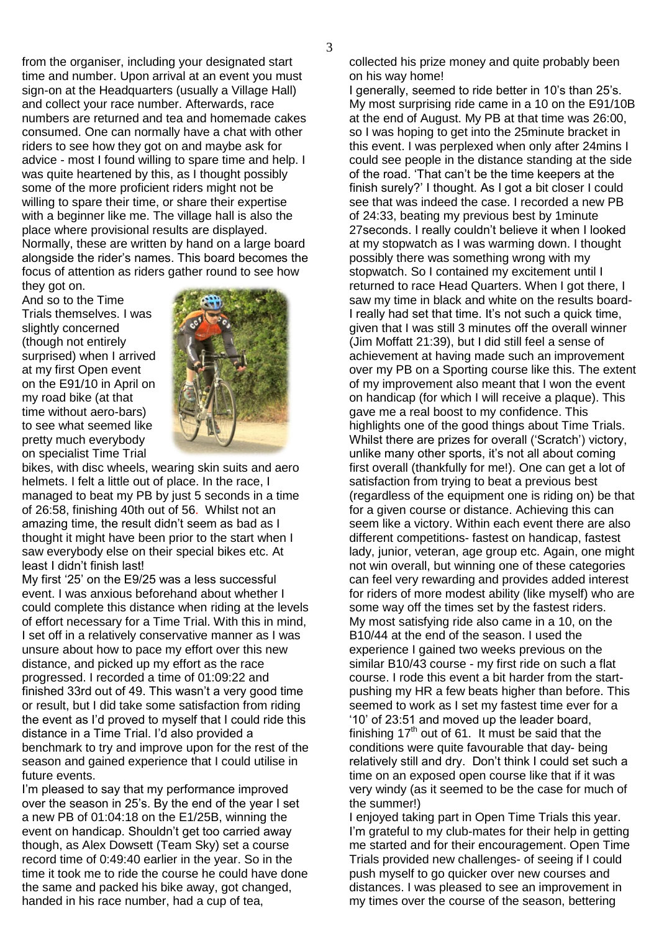from the organiser, including your designated start time and number. Upon arrival at an event you must sign-on at the Headquarters (usually a Village Hall) and collect your race number. Afterwards, race numbers are returned and tea and homemade cakes consumed. One can normally have a chat with other riders to see how they got on and maybe ask for advice - most I found willing to spare time and help. I was quite heartened by this, as I thought possibly some of the more proficient riders might not be willing to spare their time, or share their expertise with a beginner like me. The village hall is also the place where provisional results are displayed. Normally, these are written by hand on a large board alongside the rider"s names. This board becomes the focus of attention as riders gather round to see how they got on.

And so to the Time Trials themselves. I was slightly concerned (though not entirely surprised) when I arrived at my first Open event on the E91/10 in April on my road bike (at that time without aero-bars) to see what seemed like pretty much everybody on specialist Time Trial



bikes, with disc wheels, wearing skin suits and aero helmets. I felt a little out of place. In the race, I managed to beat my PB by just 5 seconds in a time of 26:58, finishing 40th out of 56. Whilst not an amazing time, the result didn"t seem as bad as I thought it might have been prior to the start when I saw everybody else on their special bikes etc. At least I didn"t finish last!

My first "25" on the E9/25 was a less successful event. I was anxious beforehand about whether I could complete this distance when riding at the levels of effort necessary for a Time Trial. With this in mind, I set off in a relatively conservative manner as I was unsure about how to pace my effort over this new distance, and picked up my effort as the race progressed. I recorded a time of 01:09:22 and finished 33rd out of 49. This wasn"t a very good time or result, but I did take some satisfaction from riding the event as I"d proved to myself that I could ride this distance in a Time Trial. I"d also provided a benchmark to try and improve upon for the rest of the season and gained experience that I could utilise in future events.

I'm pleased to say that my performance improved over the season in 25"s. By the end of the year I set a new PB of 01:04:18 on the E1/25B, winning the event on handicap. Shouldn"t get too carried away though, as Alex Dowsett (Team Sky) set a course record time of 0:49:40 earlier in the year. So in the time it took me to ride the course he could have done the same and packed his bike away, got changed, handed in his race number, had a cup of tea,

collected his prize money and quite probably been on his way home!

I generally, seemed to ride better in 10"s than 25"s. My most surprising ride came in a 10 on the E91/10B at the end of August. My PB at that time was 26:00, so I was hoping to get into the 25minute bracket in this event. I was perplexed when only after 24mins I could see people in the distance standing at the side of the road. "That can"t be the time keepers at the finish surely?" I thought. As I got a bit closer I could see that was indeed the case. I recorded a new PB of 24:33, beating my previous best by 1minute 27seconds. I really couldn"t believe it when I looked at my stopwatch as I was warming down. I thought possibly there was something wrong with my stopwatch. So I contained my excitement until I returned to race Head Quarters. When I got there, I saw my time in black and white on the results board-I really had set that time. It's not such a quick time, given that I was still 3 minutes off the overall winner (Jim Moffatt 21:39), but I did still feel a sense of achievement at having made such an improvement over my PB on a Sporting course like this. The extent of my improvement also meant that I won the event on handicap (for which I will receive a plaque). This gave me a real boost to my confidence. This highlights one of the good things about Time Trials. Whilst there are prizes for overall ('Scratch') victory, unlike many other sports, it's not all about coming first overall (thankfully for me!). One can get a lot of satisfaction from trying to beat a previous best (regardless of the equipment one is riding on) be that for a given course or distance. Achieving this can seem like a victory. Within each event there are also different competitions- fastest on handicap, fastest lady, junior, veteran, age group etc. Again, one might not win overall, but winning one of these categories can feel very rewarding and provides added interest for riders of more modest ability (like myself) who are some way off the times set by the fastest riders. My most satisfying ride also came in a 10, on the B10/44 at the end of the season. I used the experience I gained two weeks previous on the similar B10/43 course - my first ride on such a flat course. I rode this event a bit harder from the startpushing my HR a few beats higher than before. This seemed to work as I set my fastest time ever for a "10" of 23:51 and moved up the leader board, finishing  $17<sup>th</sup>$  out of 61. It must be said that the conditions were quite favourable that day- being relatively still and dry. Don"t think I could set such a time on an exposed open course like that if it was very windy (as it seemed to be the case for much of the summer!)

I enjoyed taking part in Open Time Trials this year. I'm grateful to my club-mates for their help in getting me started and for their encouragement. Open Time Trials provided new challenges- of seeing if I could push myself to go quicker over new courses and distances. I was pleased to see an improvement in my times over the course of the season, bettering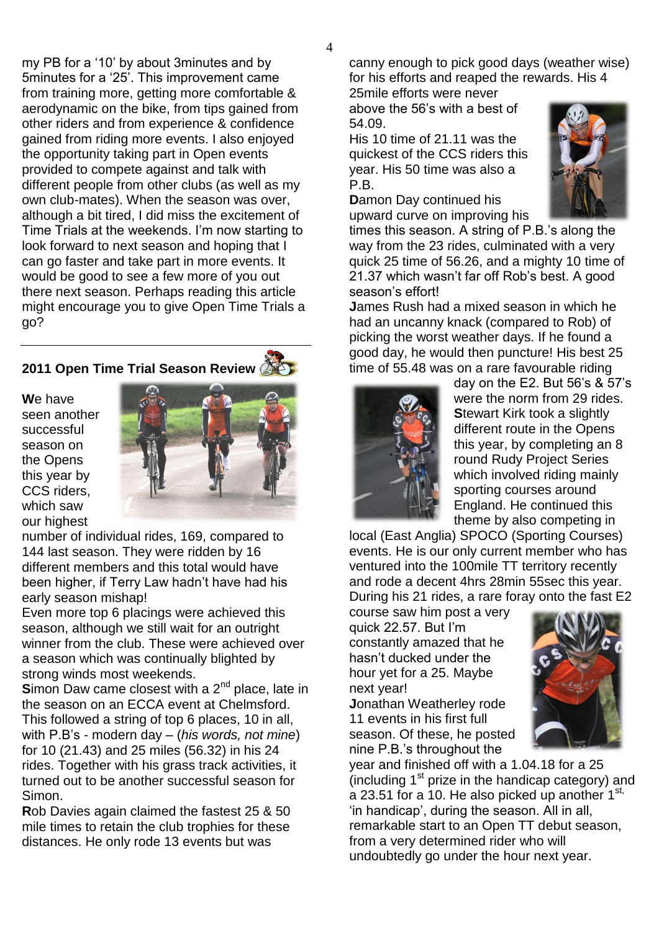my PB for a "10" by about 3minutes and by 5minutes for a "25". This improvement came from training more, getting more comfortable & aerodynamic on the bike, from tips gained from other riders and from experience & confidence gained from riding more events. I also enjoyed the opportunity taking part in Open events provided to compete against and talk with different people from other clubs (as well as my own club-mates). When the season was over, although a bit tired, I did miss the excitement of Time Trials at the weekends. I'm now starting to look forward to next season and hoping that I can go faster and take part in more events. It would be good to see a few more of you out there next season. Perhaps reading this article might encourage you to give Open Time Trials a go?

## **2011 Open Time Trial Season Review**

**W**e have seen another successful season on the Opens this year by CCS riders, which saw our highest



number of individual rides, 169, compared to 144 last season. They were ridden by 16 different members and this total would have been higher, if Terry Law hadn"t have had his early season mishap!

Even more top 6 placings were achieved this season, although we still wait for an outright winner from the club. These were achieved over a season which was continually blighted by strong winds most weekends.

**Simon Daw came closest with a 2<sup>nd</sup> place, late in** the season on an ECCA event at Chelmsford. This followed a string of top 6 places, 10 in all, with P.B"s - modern day *–* (*his words, not mine*) for 10 (21.43) and 25 miles (56.32) in his 24 rides. Together with his grass track activities, it turned out to be another successful season for Simon.

**R**ob Davies again claimed the fastest 25 & 50 mile times to retain the club trophies for these distances. He only rode 13 events but was

canny enough to pick good days (weather wise) for his efforts and reaped the rewards. His 4

25mile efforts were never above the 56"s with a best of 54.09.

His 10 time of 21.11 was the quickest of the CCS riders this year. His 50 time was also a P.B.

**D**amon Day continued his upward curve on improving his



times this season. A string of P.B."s along the way from the 23 rides, culminated with a very quick 25 time of 56.26, and a mighty 10 time of 21.37 which wasn"t far off Rob"s best. A good season's effort!

**J**ames Rush had a mixed season in which he had an uncanny knack (compared to Rob) of picking the worst weather days. If he found a good day, he would then puncture! His best 25 time of 55.48 was on a rare favourable riding



day on the E2. But 56"s & 57"s were the norm from 29 rides. **S**tewart Kirk took a slightly different route in the Opens this year, by completing an 8 round Rudy Project Series which involved riding mainly sporting courses around England. He continued this theme by also competing in

local (East Anglia) SPOCO (Sporting Courses) events. He is our only current member who has ventured into the 100mile TT territory recently and rode a decent 4hrs 28min 55sec this year. During his 21 rides, a rare foray onto the fast E2

course saw him post a very quick 22.57. But I"m constantly amazed that he hasn"t ducked under the hour yet for a 25. Maybe next year!

**J**onathan Weatherley rode 11 events in his first full season. Of these, he posted nine P.B."s throughout the



year and finished off with a 1.04.18 for a 25 (including  $1<sup>st</sup>$  prize in the handicap category) and a 23.51 for a 10. He also picked up another  $1^{st}$ , "in handicap", during the season. All in all, remarkable start to an Open TT debut season, from a very determined rider who will undoubtedly go under the hour next year.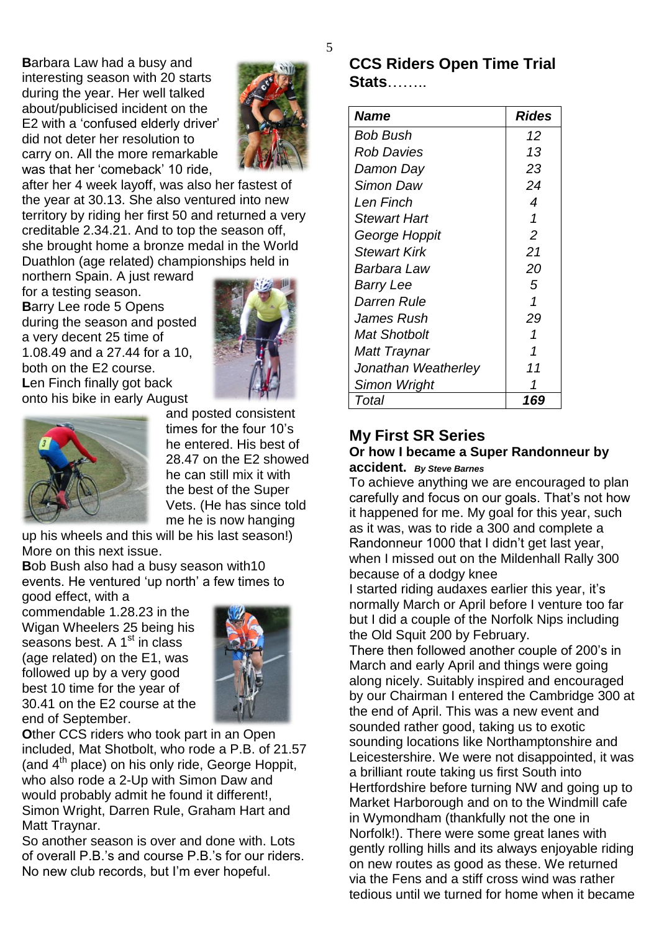**B**arbara Law had a busy and interesting season with 20 starts during the year. Her well talked about/publicised incident on the E2 with a "confused elderly driver" did not deter her resolution to carry on. All the more remarkable was that her 'comeback' 10 ride,



after her 4 week layoff, was also her fastest of the year at 30.13. She also ventured into new territory by riding her first 50 and returned a very creditable 2.34.21. And to top the season off, she brought home a bronze medal in the World Duathlon (age related) championships held in

northern Spain. A just reward for a testing season. **B**arry Lee rode 5 Opens during the season and posted a very decent 25 time of 1.08.49 and a 27.44 for a 10, both on the E2 course. **L**en Finch finally got back onto his bike in early August





and posted consistent times for the four 10"s he entered. His best of 28.47 on the E2 showed he can still mix it with the best of the Super Vets. (He has since told me he is now hanging

up his wheels and this will be his last season!) More on this next issue.

**B**ob Bush also had a busy season with10 events. He ventured 'up north' a few times to good effect, with a

commendable 1.28.23 in the Wigan Wheelers 25 being his seasons best. A  $1<sup>st</sup>$  in class (age related) on the E1, was followed up by a very good best 10 time for the year of 30.41 on the E2 course at the end of September.



**O**ther CCS riders who took part in an Open included, Mat Shotbolt, who rode a P.B. of 21.57 (and  $4<sup>th</sup>$  place) on his only ride, George Hoppit, who also rode a 2-Up with Simon Daw and would probably admit he found it different!, Simon Wright, Darren Rule, Graham Hart and Matt Traynar.

So another season is over and done with. Lots of overall P.B."s and course P.B."s for our riders. No new club records, but I"m ever hopeful.

## **CCS Riders Open Time Trial Stats**……..

| <b>Name</b>         | <b>Rides</b>   |
|---------------------|----------------|
| Bob Bush            | 12             |
| Rob Davies          | 13             |
| Damon Day           | 23             |
| Simon Daw           | 24             |
| I en Finch          | 4              |
| <b>Stewart Hart</b> | 1              |
| George Hoppit       | $\overline{2}$ |
| <b>Stewart Kirk</b> | 21             |
| Barbara Law         | 20             |
| Barry Lee           | 5              |
| Darren Rule         | 1              |
| James Rush          | 29             |
| Mat Shotbolt        | 1              |
| Matt Traynar        | 1              |
| Jonathan Weatherley | 11             |
| Simon Wright        |                |
| Total               | 169            |

#### **My First SR Series Or how I became a Super Randonneur by accident.** *By Steve Barnes*

To achieve anything we are encouraged to plan carefully and focus on our goals. That"s not how it happened for me. My goal for this year, such as it was, was to ride a 300 and complete a Randonneur 1000 that I didn"t get last year, when I missed out on the Mildenhall Rally 300 because of a dodgy knee

I started riding audaxes earlier this year, it"s normally March or April before I venture too far but I did a couple of the Norfolk Nips including the Old Squit 200 by February.

There then followed another couple of 200"s in March and early April and things were going along nicely. Suitably inspired and encouraged by our Chairman I entered the Cambridge 300 at the end of April. This was a new event and sounded rather good, taking us to exotic sounding locations like Northamptonshire and Leicestershire. We were not disappointed, it was a brilliant route taking us first South into Hertfordshire before turning NW and going up to Market Harborough and on to the Windmill cafe in Wymondham (thankfully not the one in Norfolk!). There were some great lanes with gently rolling hills and its always enjoyable riding on new routes as good as these. We returned via the Fens and a stiff cross wind was rather tedious until we turned for home when it became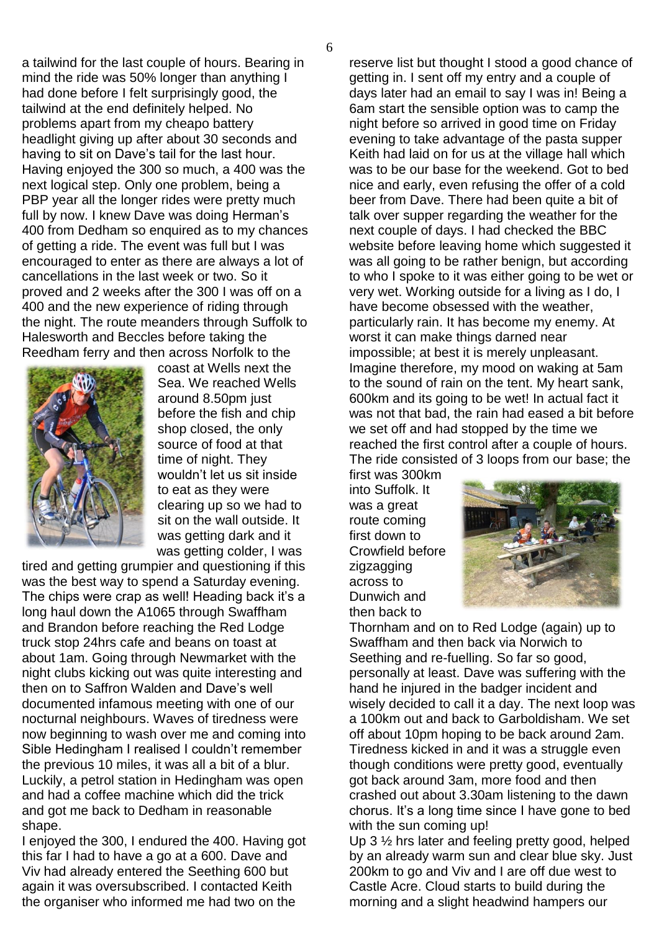6

a tailwind for the last couple of hours. Bearing in mind the ride was 50% longer than anything I had done before I felt surprisingly good, the tailwind at the end definitely helped. No problems apart from my cheapo battery headlight giving up after about 30 seconds and having to sit on Dave"s tail for the last hour. Having enjoyed the 300 so much, a 400 was the next logical step. Only one problem, being a PBP year all the longer rides were pretty much full by now. I knew Dave was doing Herman's 400 from Dedham so enquired as to my chances of getting a ride. The event was full but I was encouraged to enter as there are always a lot of cancellations in the last week or two. So it proved and 2 weeks after the 300 I was off on a 400 and the new experience of riding through the night. The route meanders through Suffolk to Halesworth and Beccles before taking the Reedham ferry and then across Norfolk to the



coast at Wells next the Sea. We reached Wells around 8.50pm just before the fish and chip shop closed, the only source of food at that time of night. They wouldn"t let us sit inside to eat as they were clearing up so we had to sit on the wall outside. It was getting dark and it was getting colder, I was

tired and getting grumpier and questioning if this was the best way to spend a Saturday evening. The chips were crap as well! Heading back it's a long haul down the A1065 through Swaffham and Brandon before reaching the Red Lodge truck stop 24hrs cafe and beans on toast at about 1am. Going through Newmarket with the night clubs kicking out was quite interesting and then on to Saffron Walden and Dave"s well documented infamous meeting with one of our nocturnal neighbours. Waves of tiredness were now beginning to wash over me and coming into Sible Hedingham I realised I couldn"t remember the previous 10 miles, it was all a bit of a blur. Luckily, a petrol station in Hedingham was open and had a coffee machine which did the trick and got me back to Dedham in reasonable shape.

I enjoyed the 300, I endured the 400. Having got this far I had to have a go at a 600. Dave and Viv had already entered the Seething 600 but again it was oversubscribed. I contacted Keith the organiser who informed me had two on the

reserve list but thought I stood a good chance of getting in. I sent off my entry and a couple of days later had an email to say I was in! Being a 6am start the sensible option was to camp the night before so arrived in good time on Friday evening to take advantage of the pasta supper Keith had laid on for us at the village hall which was to be our base for the weekend. Got to bed nice and early, even refusing the offer of a cold beer from Dave. There had been quite a bit of talk over supper regarding the weather for the next couple of days. I had checked the BBC website before leaving home which suggested it was all going to be rather benign, but according to who I spoke to it was either going to be wet or very wet. Working outside for a living as I do, I have become obsessed with the weather, particularly rain. It has become my enemy. At worst it can make things darned near impossible; at best it is merely unpleasant. Imagine therefore, my mood on waking at 5am to the sound of rain on the tent. My heart sank, 600km and its going to be wet! In actual fact it was not that bad, the rain had eased a bit before we set off and had stopped by the time we reached the first control after a couple of hours. The ride consisted of 3 loops from our base; the

first was 300km into Suffolk. It was a great route coming first down to Crowfield before zigzagging across to Dunwich and then back to



Thornham and on to Red Lodge (again) up to Swaffham and then back via Norwich to Seething and re-fuelling. So far so good, personally at least. Dave was suffering with the hand he injured in the badger incident and wisely decided to call it a day. The next loop was a 100km out and back to Garboldisham. We set off about 10pm hoping to be back around 2am. Tiredness kicked in and it was a struggle even though conditions were pretty good, eventually got back around 3am, more food and then crashed out about 3.30am listening to the dawn chorus. It's a long time since I have gone to bed with the sun coming up!

Up 3 ½ hrs later and feeling pretty good, helped by an already warm sun and clear blue sky. Just 200km to go and Viv and I are off due west to Castle Acre. Cloud starts to build during the morning and a slight headwind hampers our